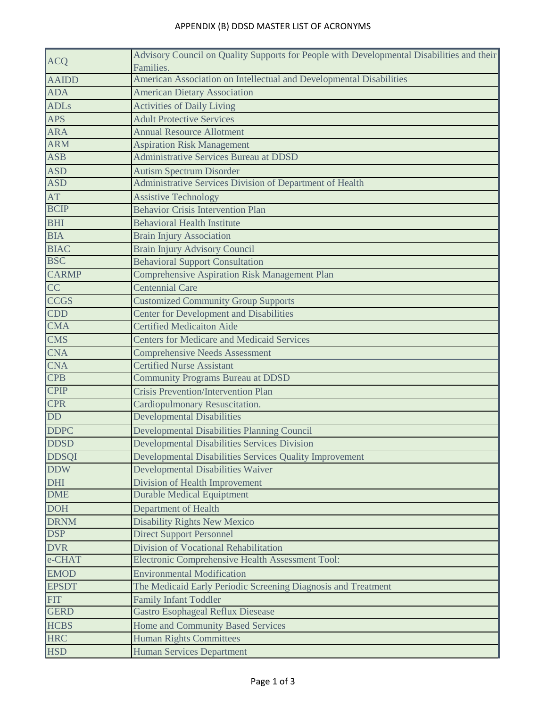## APPENDIX (B) DDSD MASTER LIST OF ACRONYMS

| <b>ACQ</b>   | Advisory Council on Quality Supports for People with Developmental Disabilities and their |
|--------------|-------------------------------------------------------------------------------------------|
|              | Families.                                                                                 |
| <b>AAIDD</b> | American Association on Intellectual and Developmental Disabilities                       |
| <b>ADA</b>   | <b>American Dietary Association</b>                                                       |
| <b>ADLs</b>  | <b>Activities of Daily Living</b>                                                         |
| <b>APS</b>   | <b>Adult Protective Services</b>                                                          |
| <b>ARA</b>   | <b>Annual Resource Allotment</b>                                                          |
| <b>ARM</b>   | <b>Aspiration Risk Management</b>                                                         |
| <b>ASB</b>   | <b>Administrative Services Bureau at DDSD</b>                                             |
| <b>ASD</b>   | <b>Autism Spectrum Disorder</b>                                                           |
| <b>ASD</b>   | Administrative Services Division of Department of Health                                  |
| AT           | <b>Assistive Technology</b>                                                               |
| <b>BCIP</b>  | <b>Behavior Crisis Intervention Plan</b>                                                  |
| <b>BHI</b>   | <b>Behavioral Health Institute</b>                                                        |
| <b>BIA</b>   | <b>Brain Injury Association</b>                                                           |
| <b>BIAC</b>  | <b>Brain Injury Advisory Council</b>                                                      |
| <b>BSC</b>   | <b>Behavioral Support Consultation</b>                                                    |
| <b>CARMP</b> | <b>Comprehensive Aspiration Risk Management Plan</b>                                      |
| <b>CC</b>    | <b>Centennial Care</b>                                                                    |
| <b>CCGS</b>  | <b>Customized Community Group Supports</b>                                                |
| <b>CDD</b>   | <b>Center for Development and Disabilities</b>                                            |
| <b>CMA</b>   | <b>Certified Medicaiton Aide</b>                                                          |
| <b>CMS</b>   | <b>Centers for Medicare and Medicaid Services</b>                                         |
| <b>CNA</b>   | <b>Comprehensive Needs Assessment</b>                                                     |
| <b>CNA</b>   | <b>Certified Nurse Assistant</b>                                                          |
| <b>CPB</b>   | <b>Community Programs Bureau at DDSD</b>                                                  |
| <b>CPIP</b>  | <b>Crisis Prevention/Intervention Plan</b>                                                |
| <b>CPR</b>   | Cardiopulmonary Resuscitation.                                                            |
| DD           | <b>Developmental Disabilities</b>                                                         |
| <b>DDPC</b>  | Developmental Disabilities Planning Council                                               |
| <b>DDSD</b>  | <b>Developmental Disabilities Services Division</b>                                       |
| <b>DDSQI</b> | Developmental Disabilities Services Quality Improvement                                   |
| <b>DDW</b>   | <b>Developmental Disabilities Waiver</b>                                                  |
| <b>DHI</b>   | Division of Health Improvement                                                            |
| <b>DME</b>   | <b>Durable Medical Equiptment</b>                                                         |
| <b>DOH</b>   | <b>Department of Health</b>                                                               |
| <b>DRNM</b>  | <b>Disability Rights New Mexico</b>                                                       |
| <b>DSP</b>   | <b>Direct Support Personnel</b>                                                           |
| <b>DVR</b>   | Division of Vocational Rehabilitation                                                     |
| e-CHAT       | Electronic Comprehensive Health Assessment Tool:                                          |
| <b>EMOD</b>  | <b>Environmental Modification</b>                                                         |
| <b>EPSDT</b> | The Medicaid Early Periodic Screening Diagnosis and Treatment                             |
| <b>FIT</b>   | <b>Family Infant Toddler</b>                                                              |
| <b>GERD</b>  | <b>Gastro Esophageal Reflux Diesease</b>                                                  |
| <b>HCBS</b>  | Home and Community Based Services                                                         |
| <b>HRC</b>   | <b>Human Rights Committees</b>                                                            |
| <b>HSD</b>   | <b>Human Services Department</b>                                                          |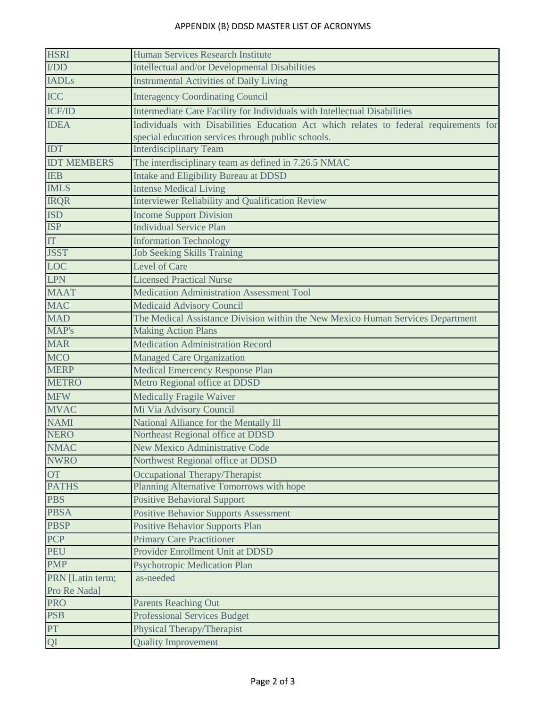## APPENDIX (B) DDSD MASTER LIST OF ACRONYMS

| <b>HSRI</b>        | Human Services Research Institute                                                     |
|--------------------|---------------------------------------------------------------------------------------|
| <b>I/DD</b>        | Intellectual and/or Developmental Disabilities                                        |
| <b>IADLs</b>       | <b>Instrumental Activities of Daily Living</b>                                        |
| ICC                | <b>Interagency Coordinating Council</b>                                               |
| <b>ICF/ID</b>      | Intermediate Care Facility for Individuals with Intellectual Disabilities             |
| <b>IDEA</b>        | Individuals with Disabilities Education Act which relates to federal requirements for |
|                    | special education services through public schools.                                    |
| IDT                | <b>Interdisciplinary Team</b>                                                         |
| <b>IDT MEMBERS</b> | The interdisciplinary team as defined in 7.26.5 NMAC                                  |
| <b>IEB</b>         | Intake and Eligibility Bureau at DDSD                                                 |
| <b>IMLS</b>        | <b>Intense Medical Living</b>                                                         |
| <b>IRQR</b>        | <b>Interviewer Reliability and Qualification Review</b>                               |
| <b>ISD</b>         | <b>Income Support Division</b>                                                        |
| <b>ISP</b>         | <b>Individual Service Plan</b>                                                        |
| IT                 | <b>Information Technology</b>                                                         |
| <b>JSST</b>        | <b>Job Seeking Skills Training</b>                                                    |
| LOC                | <b>Level of Care</b>                                                                  |
| LPN                | <b>Licensed Practical Nurse</b>                                                       |
| <b>MAAT</b>        | Medication Administration Assessment Tool                                             |
| <b>MAC</b>         | <b>Medicaid Advisory Council</b>                                                      |
| <b>MAD</b>         | The Medical Assistance Division within the New Mexico Human Services Department       |
| MAP's              | <b>Making Action Plans</b>                                                            |
| <b>MAR</b>         | <b>Medication Administration Record</b>                                               |
| <b>MCO</b>         | <b>Managed Care Organization</b>                                                      |
| <b>MERP</b>        | <b>Medical Emercency Response Plan</b>                                                |
| <b>METRO</b>       | Metro Regional office at DDSD                                                         |
| <b>MFW</b>         | <b>Medically Fragile Waiver</b>                                                       |
| <b>MVAC</b>        | Mi Via Advisory Council                                                               |
| <b>NAMI</b>        | National Alliance for the Mentally Ill                                                |
| <b>NERO</b>        | Northeast Regional office at DDSD                                                     |
| <b>NMAC</b>        | New Mexico Administrative Code                                                        |
| <b>NWRO</b>        | Northwest Regional office at DDSD                                                     |
| <b>OT</b>          | Occupational Therapy/Therapist                                                        |
| <b>PATHS</b>       | Planning Alternative Tomorrows with hope                                              |
| <b>PBS</b>         | Positive Behavioral Support                                                           |
| <b>PBSA</b>        | <b>Positive Behavior Supports Assessment</b>                                          |
| <b>PBSP</b>        | <b>Positive Behavior Supports Plan</b>                                                |
| <b>PCP</b>         | <b>Primary Care Practitioner</b>                                                      |
| <b>PEU</b>         | Provider Enrollment Unit at DDSD                                                      |
| <b>PMP</b>         | <b>Psychotropic Medication Plan</b>                                                   |
| PRN [Latin term;   | as-needed                                                                             |
| Pro Re Nada]       |                                                                                       |
| <b>PRO</b>         | <b>Parents Reaching Out</b>                                                           |
| <b>PSB</b>         | <b>Professional Services Budget</b>                                                   |
| PT                 | Physical Therapy/Therapist                                                            |
| QI                 | <b>Quality Improvement</b>                                                            |